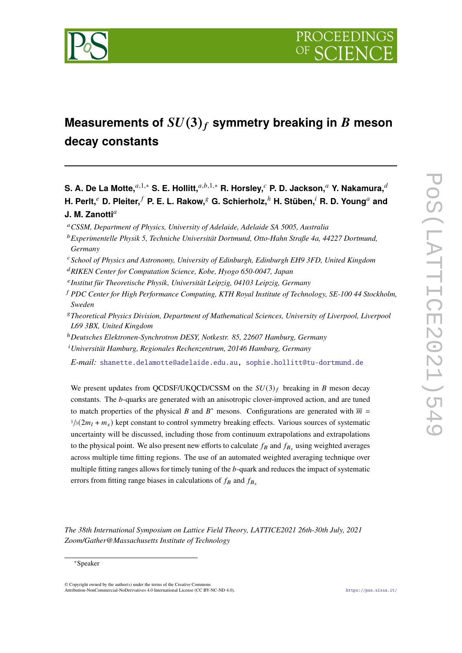

# **Measurements of**  $SU(3)_f$  symmetry breaking in B meson **decay constants**

**S. A. De La Motte,**<sup>a,1,∗</sup> **S. E. Hollitt,**<sup>a,b,1,∗</sup> **R. Horsley,<sup>c</sup> P. D. Jackson,<sup>a</sup> Y. Nakamura,**<sup>d</sup>  $H$ . Perlt,<sup> $e$ </sup> D. Pleiter, $<sup>f</sup>$  P. E. L. Rakow, $<sup>g</sup>$  G. Schierholz, $<sup>h</sup>$  H. Stüben, $<sup>i</sup>$  R. D. Young<sup>a</sup> and</sup></sup></sup></sup> **J. M. Zanotti<sup>a</sup>** 

<sup>𝑎</sup>*CSSM, Department of Physics, University of Adelaide, Adelaide SA 5005, Australia*

- <sup>𝑏</sup>*Experimentelle Physik 5, Techniche Universität Dortmund, Otto-Hahn Straße 4a, 44227 Dortmund, Germany*
- <sup>𝑐</sup>*School of Physics and Astronomy, University of Edinburgh, Edinburgh EH9 3FD, United Kingdom*
- <sup>𝑑</sup>*RIKEN Center for Computation Science, Kobe, Hyogo 650-0047, Japan*
- 𝑒 *Institut für Theoretische Physik, Universität Leipzig, 04103 Leipzig, Germany*
- <sup>𝑓</sup> *PDC Center for High Performance Computing, KTH Royal Institute of Technology, SE-100 44 Stockholm, Sweden*
- <sup>𝑔</sup>*Theoretical Physics Division, Department of Mathematical Sciences, University of Liverpool, Liverpool L69 3BX, United Kingdom*
- <sup>ℎ</sup>*Deutsches Elektronen-Synchrotron DESY, Notkestr. 85, 22607 Hamburg, Germany*
- <sup>*i*</sup> Universität Hamburg, Regionales Rechenzentrum, 20146 Hamburg, Germany

*E-mail:* [shanette.delamotte@adelaide.edu.au,](mailto:shanette.delamotte@adelaide.edu.au) [sophie.hollitt@tu-dortmund.de](mailto:sophie.hollitt@tu-dortmund.de)

We present updates from QCDSF/UKQCD/CSSM on the  $SU(3)_f$  breaking in B meson decay constants. The *b*-quarks are generated with an anisotropic clover-improved action, and are tuned to match properties of the physical B and B<sup>\*</sup> mesons. Configurations are generated with  $\overline{m}$  =  $\frac{1}{3}(2m_l + m_s)$  kept constant to control symmetry breaking effects. Various sources of systematic uncertainty will be discussed, including those from continuum extrapolations and extrapolations to the physical point. We also present new efforts to calculate  $f_B$  and  $f_{B_s}$  using weighted averages across multiple time fitting regions. The use of an automated weighted averaging technique over multiple fitting ranges allows for timely tuning of the  $b$ -quark and reduces the impact of systematic errors from fitting range biases in calculations of  $f_B$  and  $f_{B_s}$ 

*The 38th International Symposium on Lattice Field Theory, LATTICE2021 26th-30th July, 2021 Zoom/Gather@Massachusetts Institute of Technology*

<sup>∗</sup>Speaker

<sup>©</sup> Copyright owned by the author(s) under the terms of the Creative Commons Attribution-NonCommercial-NoDerivatives 4.0 International License (CC BY-NC-ND 4.0). <https://pos.sissa.it/>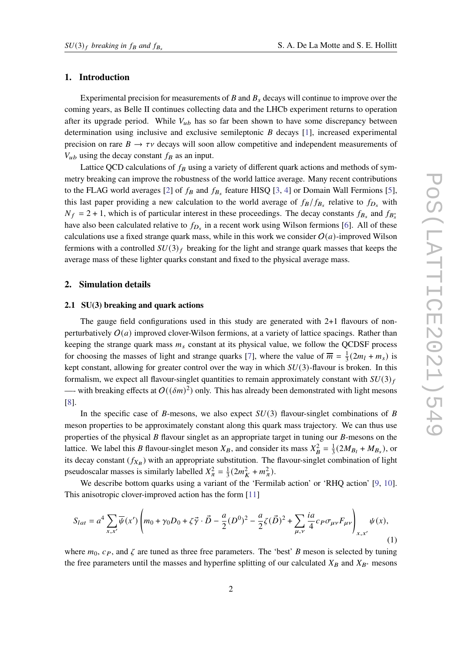#### **1. Introduction**

Experimental precision for measurements of  $B$  and  $B_s$  decays will continue to improve over the coming years, as Belle II continues collecting data and the LHCb experiment returns to operation after its upgrade period. While  $V_{ub}$  has so far been shown to have some discrepancy between determination using inclusive and exclusive semileptonic  $B$  decays [\[1\]](#page-13-0), increased experimental precision on rare  $B \to \tau \nu$  decays will soon allow competitive and independent measurements of  $V_{ub}$  using the decay constant  $f_B$  as an input.

Lattice QCD calculations of  $f_B$  using a variety of different quark actions and methods of symmetry breaking can improve the robustness of the world lattice average. Many recent contributions to the FLAG world averages [\[2\]](#page-13-1) of  $f_B$  and  $f_{B_s}$  feature HISQ [\[3,](#page-13-2) [4\]](#page-13-3) or Domain Wall Fermions [\[5\]](#page-13-4), this last paper providing a new calculation to the world average of  $f_B/f_{B_s}$  relative to  $f_{D_s}$  with  $N_f = 2 + 1$ , which is of particular interest in these proceedings. The decay constants  $f_{B_s}$  and  $f_{B_s}$ have also been calculated relative to  $f_{D_s}$  in a recent work using Wilson fermions [\[6\]](#page-13-5). All of these calculations use a fixed strange quark mass, while in this work we consider  $O(a)$ -improved Wilson fermions with a controlled  $SU(3)_f$  breaking for the light and strange quark masses that keeps the average mass of these lighter quarks constant and fixed to the physical average mass.

#### **2. Simulation details**

#### **2.1 SU(3) breaking and quark actions**

The gauge field configurations used in this study are generated with 2+1 flavours of nonperturbatively  $O(a)$  improved clover-Wilson fermions, at a variety of lattice spacings. Rather than keeping the strange quark mass  $m_s$  constant at its physical value, we follow the QCDSF process for choosing the masses of light and strange quarks [\[7\]](#page-13-6), where the value of  $\overline{m} = \frac{1}{3}$  $\frac{1}{3}(2m_l + m_s)$  is kept constant, allowing for greater control over the way in which  $SU(3)$ -flavour is broken. In this formalism, we expect all flavour-singlet quantities to remain approximately constant with  $SU(3)_f$ —- with breaking effects at  $O((\delta m)^2)$  only. This has already been demonstrated with light mesons [\[8\]](#page-13-7).

In the specific case of B-mesons, we also expect  $SU(3)$  flavour-singlet combinations of B meson properties to be approximately constant along this quark mass trajectory. We can thus use properties of the physical  $B$  flavour singlet as an appropriate target in tuning our  $B$ -mesons on the lattice. We label this B flavour-singlet meson  $X_B$ , and consider its mass  $X_B^2 = \frac{1}{3}$  $\frac{1}{3}(2M_{B_l} + M_{B_s})$ , or its decay constant  $(f_{X_B})$  with an appropriate substitution. The flavour-singlet combination of light pseudoscalar masses is similarly labelled  $X_{\pi}^2 = \frac{1}{3}$  $\frac{1}{3}(2m_K^2 + m_\pi^2).$ 

We describe bottom quarks using a variant of the 'Fermilab action' or 'RHQ action' [\[9,](#page-13-8) [10\]](#page-13-9). This anisotropic clover-improved action has the form [\[11\]](#page-13-10)

$$
S_{lat} = a^4 \sum_{x,x'} \overline{\psi}(x') \left( m_0 + \gamma_0 D_0 + \zeta \vec{\gamma} \cdot \vec{D} - \frac{a}{2} (D^0)^2 - \frac{a}{2} \zeta (\vec{D})^2 + \sum_{\mu,\nu} \frac{ia}{4} c_P \sigma_{\mu\nu} F_{\mu\nu} \right)_{x,x'} \psi(x),\tag{1}
$$

where  $m_0$ ,  $c_P$ , and  $\zeta$  are tuned as three free parameters. The 'best' B meson is selected by tuning the free parameters until the masses and hyperfine splitting of our calculated  $X_B$  and  $X_{B*}$  mesons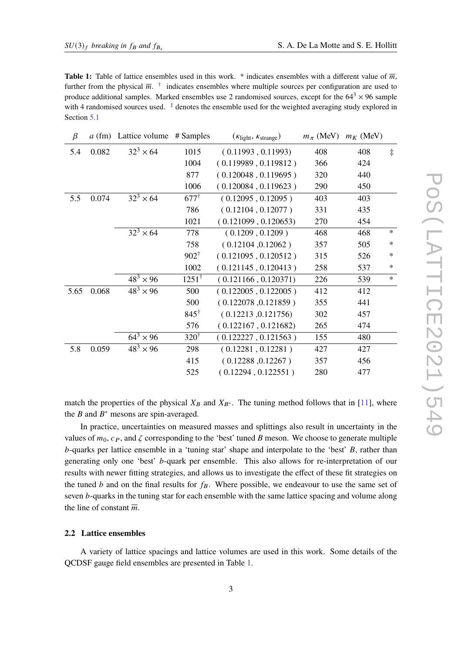<span id="page-2-0"></span>**Table 1:** Table of lattice ensembles used in this work. \* indicates ensembles with a different value of  $\overline{m}$ , further from the physical  $\overline{m}$ .  $\dagger$  indicates ensembles where multiple sources per configuration are used to produce additional samples. Marked ensembles use 2 randomised sources, except for the  $64^3 \times 96$  sample with 4 randomised sources used.  $\frac{4}{3}$  denotes the ensemble used for the weighted averaging study explored in Section [5.1](#page-8-0)

| $\beta$ |       | a (fm) Lattice volume # Samples | $(K_{\text{light}}, K_{\text{strange}})$ |                      | $m_\pi$ (MeV) | $m_K$ (MeV) |            |
|---------|-------|---------------------------------|------------------------------------------|----------------------|---------------|-------------|------------|
| 5.4     | 0.082 | $32^3 \times 64$                | 1015                                     | (0.11993, 0.11993)   | 408           | 408         | $\ddagger$ |
|         |       |                                 | 1004                                     | (0.119989, 0.119812) | 366           | 424         |            |
|         |       |                                 | 877                                      | (0.120048, 0.119695) | 320           | 440         |            |
|         |       |                                 | 1006                                     | (0.120084, 0.119623) | 290           | 450         |            |
| 5.5     | 0.074 | $32^3 \times 64$                | $677^{\dagger}$                          | (0.12095, 0.12095)   | 403           | 403         |            |
|         |       |                                 | 786                                      | (0.12104, 0.12077)   | 331           | 435         |            |
|         |       |                                 | 1021                                     | (0.121099, 0.120653) | 270           | 454         |            |
|         |       | $32^3 \times 64$                | 778                                      | (0.1209, 0.1209)     | 468           | 468         | $\ast$     |
|         |       |                                 | 758                                      | (0.12104, 0.12062)   | 357           | 505         | $\ast$     |
|         |       |                                 | $902^{\dagger}$                          | (0.121095, 0.120512) | 315           | 526         | $\ast$     |
|         |       |                                 | 1002                                     | (0.121145, 0.120413) | 258           | 537         | $\ast$     |
|         |       | $48^3 \times 96$                | $1251^{\dagger}$                         | (0.121166, 0.120371) | 226           | 539         | $\ast$     |
| 5.65    | 0.068 | $48^3 \times 96$                | 500                                      | (0.122005, 0.122005) | 412           | 412         |            |
|         |       |                                 | 500                                      | (0.122078, 0.121859) | 355           | 441         |            |
|         |       |                                 | $845^{\dagger}$                          | (0.12213, 0.121756)  | 302           | 457         |            |
|         |       |                                 | 576                                      | (0.122167, 0.121682) | 265           | 474         |            |
|         |       | $64^{3} \times 96$              | $320^{\dagger}$                          | (0.122227, 0.121563) | 155           | 480         |            |
| 5.8     | 0.059 | $48^{3} \times 96$              | 298                                      | (0.12281, 0.12281)   | 427           | 427         |            |
|         |       |                                 | 415                                      | (0.12288, 0.12267)   | 357           | 456         |            |
|         |       |                                 | 525                                      | (0.12294, 0.122551)  | 280           | 477         |            |

match the properties of the physical  $X_B$  and  $X_{B^*}$ . The tuning method follows that in [\[11\]](#page-13-10), where the B and  $B^*$  mesons are spin-averaged.

In practice, uncertainties on measured masses and splittings also result in uncertainty in the values of  $m_0$ ,  $c_p$ , and  $\zeta$  corresponding to the 'best' tuned B meson. We choose to generate multiple  $b$ -quarks per lattice ensemble in a 'tuning star' shape and interpolate to the 'best'  $B$ , rather than generating only one 'best' b-quark per ensemble. This also allows for re-interpretation of our results with newer fitting strategies, and allows us to investigate the effect of these fit strategies on the tuned  $b$  and on the final results for  $f_B$ . Where possible, we endeavour to use the same set of seven *b*-quarks in the tuning star for each ensemble with the same lattice spacing and volume along the line of constant  $\overline{m}$ .

#### **2.2 Lattice ensembles**

A variety of lattice spacings and lattice volumes are used in this work. Some details of the QCDSF gauge field ensembles are presented in Table [1.](#page-2-0)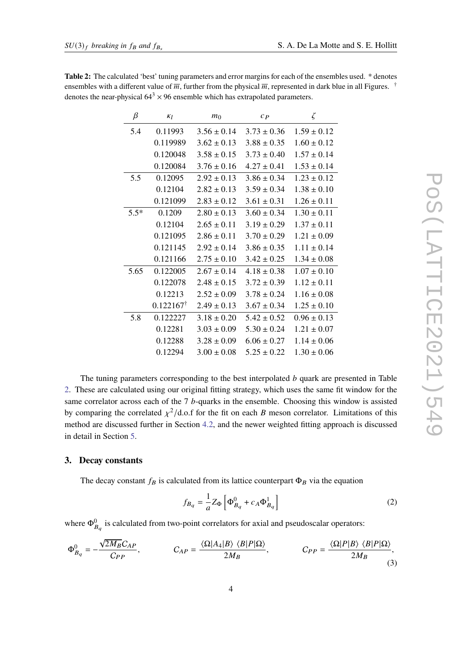| β      | $K_l$                | m <sub>0</sub>  | $C_{P}$         | ζ               |
|--------|----------------------|-----------------|-----------------|-----------------|
| 5.4    | 0.11993              | $3.56 \pm 0.14$ | $3.73 \pm 0.36$ | $1.59 \pm 0.12$ |
|        | 0.119989             | $3.62 \pm 0.13$ | $3.88 \pm 0.35$ | $1.60 \pm 0.12$ |
|        | 0.120048             | $3.58 \pm 0.15$ | $3.73 \pm 0.40$ | $1.57 \pm 0.14$ |
|        | 0.120084             | $3.76 \pm 0.16$ | $4.27 \pm 0.41$ | $1.53 \pm 0.14$ |
| 5.5    | 0.12095              | $2.92 \pm 0.13$ | $3.86 \pm 0.34$ | $1.23 \pm 0.12$ |
|        | 0.12104              | $2.82 \pm 0.13$ | $3.59 \pm 0.34$ | $1.38 \pm 0.10$ |
|        | 0.121099             | $2.83 \pm 0.12$ | $3.61 \pm 0.31$ | $1.26 \pm 0.11$ |
| $5.5*$ | 0.1209               | $2.80 \pm 0.13$ | $3.60 \pm 0.34$ | $1.30 \pm 0.11$ |
|        | 0.12104              | $2.65 \pm 0.11$ | $3.19 \pm 0.29$ | $1.37 \pm 0.11$ |
|        | 0.121095             | $2.86 \pm 0.11$ | $3.70 \pm 0.29$ | $1.21 \pm 0.09$ |
|        | 0.121145             | $2.92 \pm 0.14$ | $3.86 \pm 0.35$ | $1.11 \pm 0.14$ |
|        | 0.121166             | $2.75 \pm 0.10$ | $3.42 \pm 0.25$ | $1.34 \pm 0.08$ |
| 5.65   | 0.122005             | $2.67 \pm 0.14$ | $4.18 \pm 0.38$ | $1.07 \pm 0.10$ |
|        | 0.122078             | $2.48 \pm 0.15$ | $3.72 \pm 0.39$ | $1.12 \pm 0.11$ |
|        | 0.12213              | $2.52 \pm 0.09$ | $3.78 \pm 0.24$ | $1.16 \pm 0.08$ |
|        | $0.122167^{\dagger}$ | $2.49 \pm 0.13$ | $3.67 \pm 0.34$ | $1.25 \pm 0.10$ |
| 5.8    | 0.122227             | $3.18 \pm 0.20$ | $5.42 \pm 0.52$ | $0.96 \pm 0.13$ |
|        | 0.12281              | $3.03 \pm 0.09$ | $5.30 \pm 0.24$ | $1.21 \pm 0.07$ |
|        | 0.12288              | $3.28 \pm 0.09$ | $6.06 \pm 0.27$ | $1.14 \pm 0.06$ |
|        | 0.12294              | $3.00 \pm 0.08$ | $5.25 \pm 0.22$ | $1.30 \pm 0.06$ |

<span id="page-3-0"></span>**Table 2:** The calculated 'best' tuning parameters and error margins for each of the ensembles used. \* denotes ensembles with a different value of  $\overline{m}$ , further from the physical  $\overline{m}$ , represented in dark blue in all Figures. <sup>†</sup> denotes the near-physical  $64^3 \times 96$  ensemble which has extrapolated parameters.

The tuning parameters corresponding to the best interpolated  *quark are presented in Table* [2.](#page-3-0) These are calculated using our original fitting strategy, which uses the same fit window for the same correlator across each of the  $7$   $b$ -quarks in the ensemble. Choosing this window is assisted by comparing the correlated  $\chi^2$ /d.o.f for the fit on each *B* meson correlator. Limitations of this method are discussed further in Section [4.2,](#page-6-0) and the newer weighted fitting approach is discussed in detail in Section [5.](#page-8-1)

#### <span id="page-3-1"></span>**3. Decay constants**

The decay constant  $f_B$  is calculated from its lattice counterpart  $\Phi_B$  via the equation

$$
f_{B_q} = \frac{1}{a} Z_{\Phi} \left[ \Phi_{B_q}^0 + c_A \Phi_{B_q}^1 \right]
$$
 (2)

where  $\Phi_{B_{\alpha}}^{0}$  is calculated from two-point correlators for axial and pseudoscalar operators:

$$
\Phi_{B_q}^0 = -\frac{\sqrt{2M_B}C_{AP}}{C_{PP}}, \qquad C_{AP} = \frac{\langle \Omega | A_4 | B \rangle \langle B | P | \Omega \rangle}{2M_B}, \qquad C_{PP} = \frac{\langle \Omega | P | B \rangle \langle B | P | \Omega \rangle}{2M_B}, \qquad (3)
$$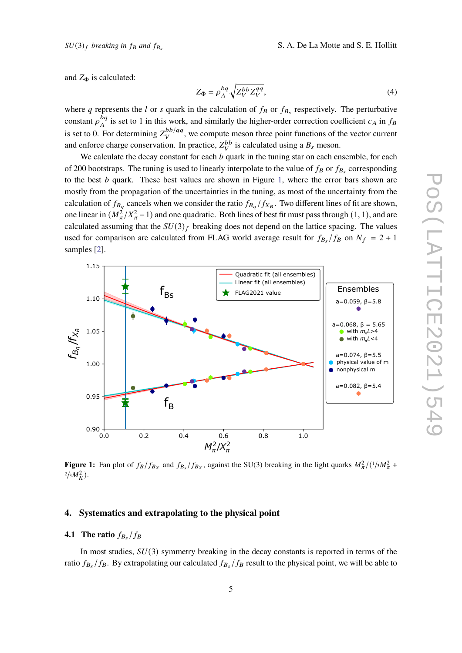and  $Z_{\Phi}$  is calculated:

$$
Z_{\Phi} = \rho_A^{bq} \sqrt{Z_V^{bb} Z_V^{qq}},\tag{4}
$$

where q represents the l or s quark in the calculation of  $f_B$  or  $f_{B_s}$  respectively. The perturbative constant  $\rho^{bq}$  $_{A}^{bq}$  is set to 1 in this work, and similarly the higher-order correction coefficient  $c_A$  in  $f_B$ is set to 0. For determining  $Z_v^{bb/qq}$  $_{V}^{bb/qq}$ , we compute meson three point functions of the vector current and enforce charge conservation. In practice,  $Z_V^{bb}$  is calculated using a  $B_s$  meson.

We calculate the decay constant for each  $b$  quark in the tuning star on each ensemble, for each of 200 bootstraps. The tuning is used to linearly interpolate to the value of  $f_B$  or  $f_{B_s}$  corresponding to the best  $b$  quark. These best values are shown in Figure [1,](#page-4-0) where the error bars shown are mostly from the propagation of the uncertainties in the tuning, as most of the uncertainty from the calculation of  $f_{B_q}$  cancels when we consider the ratio  $f_{B_q}/f_{X_B}$ . Two different lines of fit are shown, one linear in  $(M_\pi^2/X_\pi^2 - 1)$  and one quadratic. Both lines of best fit must pass through (1, 1), and are calculated assuming that the  $SU(3)_f$  breaking does not depend on the lattice spacing. The values used for comparison are calculated from FLAG world average result for  $f_{B_s}/f_B$  on  $N_f = 2 + 1$ samples [\[2\]](#page-13-1).

<span id="page-4-0"></span>

**Figure 1:** Fan plot of  $f_B/f_{B_X}$  and  $f_{B_X}/f_{B_X}$ , against the SU(3) breaking in the light quarks  $M_\pi^2/(1/3M_\pi^2 +$  $^{2}/_{3}M_{K}^{2}$ ).

## **4. Systematics and extrapolating to the physical point**

# **4.1** The ratio  $f_{B_s}/f_B$

In most studies,  $SU(3)$  symmetry breaking in the decay constants is reported in terms of the ratio  $f_{B_s}/f_B$ . By extrapolating our calculated  $f_{B_s}/f_B$  result to the physical point, we will be able to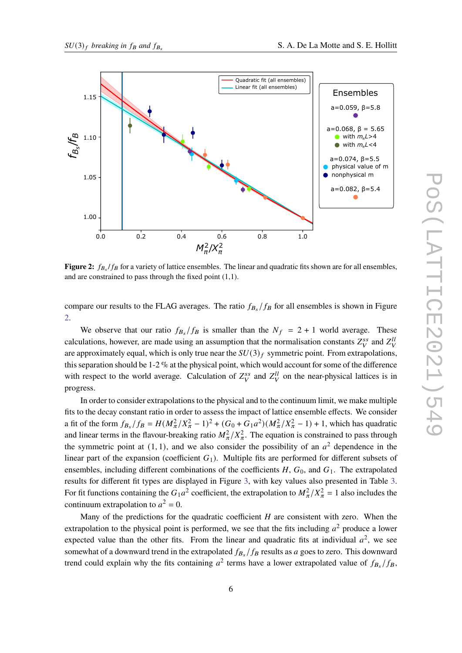<span id="page-5-0"></span>

**Figure 2:**  $f_{B_s}/f_B$  for a variety of lattice ensembles. The linear and quadratic fits shown are for all ensembles, and are constrained to pass through the fixed point (1,1).

compare our results to the FLAG averages. The ratio  $f_{B_s}/f_B$  for all ensembles is shown in Figure [2.](#page-5-0)

We observe that our ratio  $f_{B_s}/f_B$  is smaller than the  $N_f = 2 + 1$  world average. These calculations, however, are made using an assumption that the normalisation constants  $Z_V^{ss}$  and  $Z_V^{ll}$ are approximately equal, which is only true near the  $SU(3)_f$  symmetric point. From extrapolations, this separation should be 1-2 % at the physical point, which would account for some of the difference with respect to the world average. Calculation of  $Z_V^{ss}$  and  $Z_V^{ll}$  on the near-physical lattices is in progress.

In order to consider extrapolations to the physical and to the continuum limit, we make multiple fits to the decay constant ratio in order to assess the impact of lattice ensemble effects. We consider a fit of the form  $f_{B_s}/f_B = H(M_\pi^2/X_\pi^2 - 1)^2 + (G_0 + G_1 a^2)(M_\pi^2/X_\pi^2 - 1) + 1$ , which has quadratic and linear terms in the flavour-breaking ratio  $M_{\pi}^2/X_{\pi}^2$ . The equation is constrained to pass through the symmetric point at  $(1, 1)$ , and we also consider the possibility of an  $a<sup>2</sup>$  dependence in the linear part of the expansion (coefficient  $G_1$ ). Multiple fits are performed for different subsets of ensembles, including different combinations of the coefficients  $H$ ,  $G_0$ , and  $G_1$ . The extrapolated results for different fit types are displayed in Figure [3,](#page-6-1) with key values also presented in Table [3.](#page-6-2) For fit functions containing the  $G_1a^2$  coefficient, the extrapolation to  $M_\pi^2/X_\pi^2 = 1$  also includes the continuum extrapolation to  $a^2 = 0$ .

Many of the predictions for the quadratic coefficient  $H$  are consistent with zero. When the extrapolation to the physical point is performed, we see that the fits including  $a^2$  produce a lower expected value than the other fits. From the linear and quadratic fits at individual  $a^2$ , we see somewhat of a downward trend in the extrapolated  $f_{B_s}/f_B$  results as a goes to zero. This downward trend could explain why the fits containing  $a^2$  terms have a lower extrapolated value of  $f_{B_s}/f_B$ ,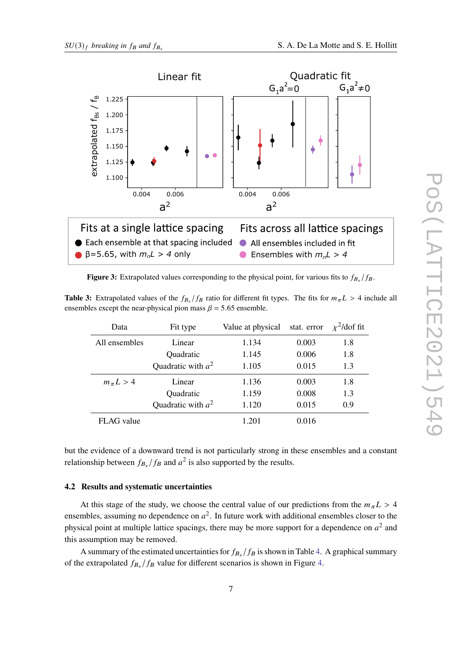<span id="page-6-1"></span>

**Figure 3:** Extrapolated values corresponding to the physical point, for various fits to  $f_{B_s}/f_B$ .

<span id="page-6-2"></span>**Table 3:** Extrapolated values of the  $f_{B_s}/f_B$  ratio for different fit types. The fits for  $m_{\pi}L > 4$  include all ensembles except the near-physical pion mass  $\beta$  = 5.65 ensemble.

| Data           | Fit type             | Value at physical | stat. error | $\chi^2$ /dof fit |
|----------------|----------------------|-------------------|-------------|-------------------|
| All ensembles  | Linear               | 1.134             | 0.003       | 1.8               |
|                | Quadratic            | 1.145             | 0.006       | 1.8               |
|                | Quadratic with $a^2$ | 1.105             | 0.015       | 1.3               |
| $m_{\pi}L > 4$ | Linear               | 1.136             | 0.003       | 1.8               |
|                | Quadratic            | 1.159             | 0.008       | 1.3               |
|                | Quadratic with $a^2$ | 1.120             | 0.015       | 0.9               |
| FLAG value     |                      | 1.201             | 0.016       |                   |

but the evidence of a downward trend is not particularly strong in these ensembles and a constant relationship between  $f_{B_s}/f_B$  and  $a^2$  is also supported by the results.

#### <span id="page-6-0"></span>**4.2 Results and systematic uncertainties**

At this stage of the study, we choose the central value of our predictions from the  $m_{\pi}L > 4$ ensembles, assuming no dependence on  $a^2$ . In future work with additional ensembles closer to the physical point at multiple lattice spacings, there may be more support for a dependence on  $a^2$  and this assumption may be removed.

A summary of the estimated uncertainties for  $f_{B_s}/f_B$  is shown in Table [4.](#page-7-0) A graphical summary of the extrapolated  $f_{B_s}/f_B$  value for different scenarios is shown in Figure [4.](#page-7-1)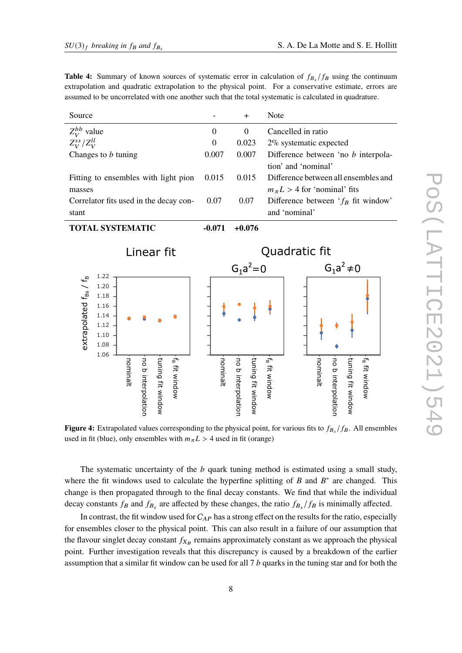<span id="page-7-0"></span>**Table 4:** Summary of known sources of systematic error in calculation of  $f_{B_s}/f_B$  using the continuum extrapolation and quadratic extrapolation to the physical point. For a conservative estimate, errors are assumed to be uncorrelated with one another such that the total systematic is calculated in quadrature.

<span id="page-7-1"></span>

| Source                                  |                                                      |          |                    |                                                |                           | $\ddot{}$        |                    | Note                      |                           |                                            |          |                    |                   |                           |  |
|-----------------------------------------|------------------------------------------------------|----------|--------------------|------------------------------------------------|---------------------------|------------------|--------------------|---------------------------|---------------------------|--------------------------------------------|----------|--------------------|-------------------|---------------------------|--|
| $Z_V^{bb}$ value                        |                                                      |          |                    | $\overline{0}$                                 |                           | $\boldsymbol{0}$ |                    | Cancelled in ratio        |                           |                                            |          |                    |                   |                           |  |
| $Z_V^{ss}/Z_V^{ll}$                     |                                                      |          |                    | $\boldsymbol{0}$                               |                           | 0.023            |                    | $2\%$ systematic expected |                           |                                            |          |                    |                   |                           |  |
|                                         | Changes to $b$ tuning                                |          |                    |                                                |                           | 0.007            |                    | 0.007                     |                           | Difference between 'no <i>b</i> interpola- |          |                    |                   |                           |  |
|                                         |                                                      |          |                    |                                                |                           |                  |                    |                           |                           | tion' and 'nominal'                        |          |                    |                   |                           |  |
|                                         | Fitting to ensembles with light pion                 |          |                    |                                                |                           | 0.015            |                    | 0.015                     |                           | Difference between all ensembles and       |          |                    |                   |                           |  |
| masses                                  |                                                      |          |                    |                                                |                           |                  |                    |                           |                           | $m_{\pi}L > 4$ for 'nominal' fits          |          |                    |                   |                           |  |
|                                         | Correlator fits used in the decay con-               |          |                    |                                                |                           | 0.07             |                    | 0.07                      |                           | Difference between $f_B$ fit window'       |          |                    |                   |                           |  |
| stant                                   |                                                      |          |                    |                                                |                           |                  |                    |                           |                           | and 'nominal'                              |          |                    |                   |                           |  |
|                                         | <b>TOTAL SYSTEMATIC</b>                              |          |                    |                                                |                           | $-0.071$         |                    | $+0.076$                  |                           |                                            |          |                    |                   |                           |  |
| Linear fit                              |                                                      |          |                    | Quadratic fit<br>$G_1a^2 \neq 0$<br>$G_1a^2=0$ |                           |                  |                    |                           |                           |                                            |          |                    |                   |                           |  |
|                                         | 1.22                                                 |          |                    |                                                |                           |                  |                    |                           |                           |                                            |          |                    |                   |                           |  |
| extrapolated $f_{\rm BS}$ / $f_{\rm B}$ | 1.20<br>1.18<br>1.16<br>1.14<br>1.12<br>1.10<br>1.08 |          |                    |                                                |                           |                  |                    |                           |                           |                                            |          |                    |                   |                           |  |
|                                         | 1.06                                                 | nominalt | no b interpolation | tuning fit window                              | f <sub>B</sub> fit window | nominalt         | no b interpolation | tuning fit window         | f <sub>B</sub> fit window |                                            | nominalt | no b interpolation | tuning fit window | f <sub>B</sub> fit window |  |

**Figure 4:** Extrapolated values corresponding to the physical point, for various fits to  $f_{B_s}/f_B$ . All ensembles used in fit (blue), only ensembles with  $m_{\pi}L > 4$  used in fit (orange)

The systematic uncertainty of the  $b$  quark tuning method is estimated using a small study, where the fit windows used to calculate the hyperfine splitting of B and  $B^*$  are changed. This change is then propagated through to the final decay constants. We find that while the individual decay constants  $f_B$  and  $f_{B_s}$  are affected by these changes, the ratio  $f_{B_s}/f_B$  is minimally affected.

In contrast, the fit window used for  $C_{AP}$  has a strong effect on the results for the ratio, especially for ensembles closer to the physical point. This can also result in a failure of our assumption that the flavour singlet decay constant  $f_{X_B}$  remains approximately constant as we approach the physical point. Further investigation reveals that this discrepancy is caused by a breakdown of the earlier assumption that a similar fit window can be used for all  $7 b$  quarks in the tuning star and for both the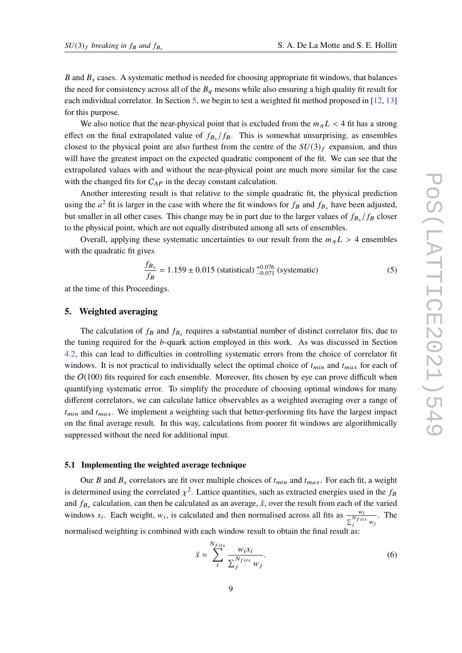$B$  and  $B_s$  cases. A systematic method is needed for choosing appropriate fit windows, that balances the need for consistency across all of the  $B<sub>q</sub>$  mesons while also ensuring a high quality fit result for each individual correlator. In Section [5,](#page-8-1) we begin to test a weighted fit method proposed in [\[12,](#page-14-0) [13\]](#page-14-1) for this purpose.

We also notice that the near-physical point that is excluded from the  $m_{\pi}L < 4$  fit has a strong effect on the final extrapolated value of  $f_{B_s}/f_B$ . This is somewhat unsurprising, as ensembles closest to the physical point are also furthest from the centre of the  $SU(3)_f$  expansion, and thus will have the greatest impact on the expected quadratic component of the fit. We can see that the extrapolated values with and without the near-physical point are much more similar for the case with the changed fits for  $C_{AP}$  in the decay constant calculation.

Another interesting result is that relative to the simple quadratic fit, the physical prediction using the  $a^2$  fit is larger in the case with where the fit windows for  $f_B$  and  $f_{B_s}$  have been adjusted, but smaller in all other cases. This change may be in part due to the larger values of  $f_{B_s}/f_B$  closer to the physical point, which are not equally distributed among all sets of ensembles.

Overall, applying these systematic uncertainties to our result from the  $m_{\pi}L > 4$  ensembles with the quadratic fit gives

$$
\frac{f_{B_s}}{f_B} = 1.159 \pm 0.015 \text{ (statistical)} \, ^{+0.076}_{-0.071} \text{ (systematic)} \tag{5}
$$

at the time of this Proceedings.

#### <span id="page-8-1"></span>**5. Weighted averaging**

The calculation of  $f_B$  and  $f_{B_s}$  requires a substantial number of distinct correlator fits, due to the tuning required for the  $b$ -quark action employed in this work. As was discussed in Section [4.2,](#page-6-0) this can lead to difficulties in controlling systematic errors from the choice of correlator fit windows. It is not practical to individually select the optimal choice of  $t_{min}$  and  $t_{max}$  for each of the  $O(100)$  fits required for each ensemble. Moreover, fits chosen by eye can prove difficult when quantifying systematic error. To simplify the procedure of choosing optimal windows for many different correlators, we can calculate lattice observables as a weighted averaging over a range of  $t_{min}$  and  $t_{max}$ . We implement a weighting such that better-performing fits have the largest impact on the final average result. In this way, calculations from poorer fit windows are algorithmically suppressed without the need for additional input.

#### <span id="page-8-0"></span>**5.1 Implementing the weighted average technique**

Our B and  $B_s$  correlators are fit over multiple choices of  $t_{min}$  and  $t_{max}$ . For each fit, a weight is determined using the correlated  $\chi^2$ . Lattice quantities, such as extracted energies used in the  $f_B$ and  $f_{B_s}$  calculation, can then be calculated as an average,  $\bar{x}$ , over the result from each of the varied windows  $x_i$ . Each weight,  $w_i$ , is calculated and then normalised across all fits as  $\frac{w_i}{N}$  $\sum_{i}^{N_f}$  its  $w_j$ . The normalised weighting is combined with each window result to obtain the final result as:

<span id="page-8-2"></span>
$$
\bar{x} = \sum_{i}^{N_{fits}} \frac{w_i x_i}{\sum_{j}^{N_{fits}} w_j}.
$$
\n
$$
(6)
$$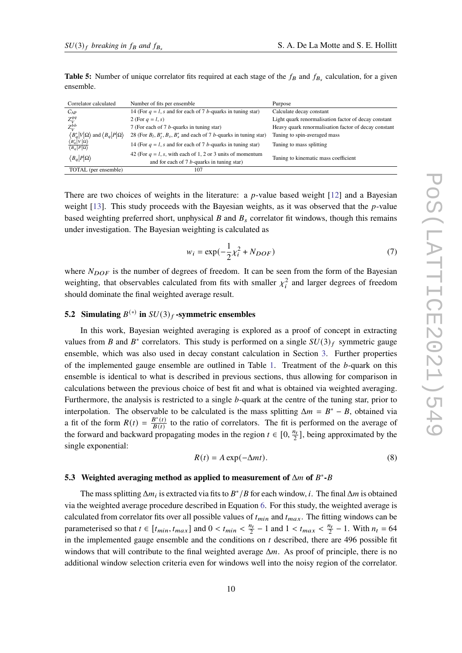| <b>Table 5:</b> Number of unique correlator fits required at each stage of the $f_B$ and $f_B$ , calculation, for a given |  |  |
|---------------------------------------------------------------------------------------------------------------------------|--|--|
| ensemble.                                                                                                                 |  |  |

| Correlator calculated                                                                                | Number of fits per ensemble                                                                                    | Purpose                                              |
|------------------------------------------------------------------------------------------------------|----------------------------------------------------------------------------------------------------------------|------------------------------------------------------|
| $C_{AP}$                                                                                             | 14 (For $q = l$ , s and for each of 7 b-quarks in tuning star)                                                 | Calculate decay constant                             |
| $Z_V^{qq}$                                                                                           | 2 (For $q = l, s$ )                                                                                            | Light quark renormalisation factor of decay constant |
| $Z_{V}^{bb}$                                                                                         | 7 (For each of 7 <i>b</i> -quarks in tuning star)                                                              | Heavy quark renormalisation factor of decay constant |
| $\langle B_q^* V \Omega\rangle$ and $\langle B_q P \Omega\rangle$<br>$\langle B_q^* V \Omega\rangle$ | 28 (For $B_l$ , $B_s^*$ , $B_s$ , $B_s^*$ and each of 7 <i>b</i> -quarks in tuning star)                       | Tuning to spin-averaged mass                         |
| $\langle B_q   P   \Omega \rangle$                                                                   | 14 (For $q = l$ , s and for each of 7 b-quarks in tuning star)                                                 | Tuning to mass splitting                             |
| $\langle B_q   P   \Omega \rangle$                                                                   | 42 (For $q = l$ , s, with each of 1, 2 or 3 units of momentum<br>and for each of $7 b$ -quarks in tuning star) | Tuning to kinematic mass coefficient                 |
| TOTAL (per ensemble)                                                                                 | 107                                                                                                            |                                                      |

There are two choices of weights in the literature: a *p*-value based weight [\[12\]](#page-14-0) and a Bayesian weight  $[13]$ . This study proceeds with the Bayesian weights, as it was observed that the *p*-value based weighting preferred short, unphysical  $B$  and  $B<sub>s</sub>$  correlator fit windows, though this remains under investigation. The Bayesian weighting is calculated as

$$
w_i = \exp(-\frac{1}{2}\chi_i^2 + N_{DOF})
$$
\n(7)

where  $N_{DOF}$  is the number of degrees of freedom. It can be seen from the form of the Bayesian weighting, that observables calculated from fits with smaller  $\chi_i^2$  and larger degrees of freedom should dominate the final weighted average result.

# **5.2** Simulating  $B^{(*)}$  in  $SU(3)_f$  **-symmetric ensembles**

In this work, Bayesian weighted averaging is explored as a proof of concept in extracting values from B and B<sup>\*</sup> correlators. This study is performed on a single  $SU(3)_f$  symmetric gauge ensemble, which was also used in decay constant calculation in Section [3.](#page-3-1) Further properties of the implemented gauge ensemble are outlined in Table [1.](#page-2-0) Treatment of the  $b$ -quark on this ensemble is identical to what is described in previous sections, thus allowing for comparison in calculations between the previous choice of best fit and what is obtained via weighted averaging. Furthermore, the analysis is restricted to a single  $b$ -quark at the centre of the tuning star, prior to interpolation. The observable to be calculated is the mass splitting  $\Delta m = B^* - B$ , obtained via a fit of the form  $R(t) = \frac{B^*(t)}{B(t)}$  $\frac{B^*(t)}{B(t)}$  to the ratio of correlators. The fit is performed on the average of the forward and backward propagating modes in the region  $t \in [0, \frac{n_t}{2}]$ , being approximated by the single exponential:

$$
R(t) = A \exp(-\Delta mt). \tag{8}
$$

# **5.3** Weighted averaging method as applied to measurement of  $\Delta m$  of  $B^*$ - $B$

The mass splitting  $\Delta m_i$  is extracted via fits to  $B^*/B$  for each window, *i*. The final  $\Delta m$  is obtained via the weighted average procedure described in Equation [6.](#page-8-2) For this study, the weighted average is calculated from correlator fits over all possible values of  $t_{min}$  and  $t_{max}$ . The fitting windows can be parameterised so that  $t \in [t_{min}, t_{max}]$  and  $0 < t_{min} < \frac{n_t}{2} - 1$  and  $1 < t_{max} < \frac{n_t}{2} - 1$ . With  $n_t = 64$ in the implemented gauge ensemble and the conditions on  $t$  described, there are 496 possible fit windows that will contribute to the final weighted average  $\Delta m$ . As proof of principle, there is no additional window selection criteria even for windows well into the noisy region of the correlator.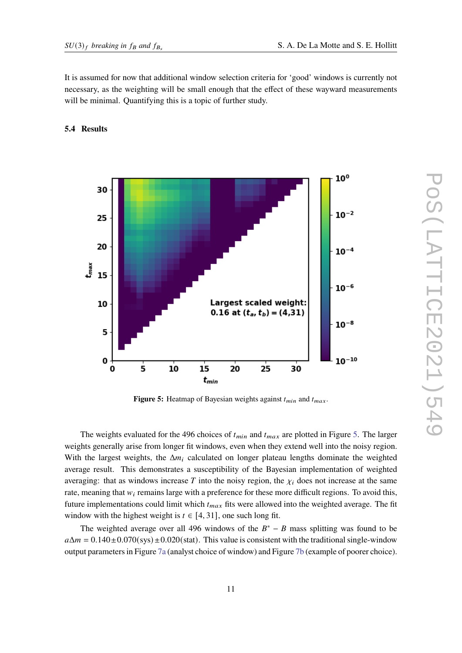It is assumed for now that additional window selection criteria for 'good' windows is currently not necessary, as the weighting will be small enough that the effect of these wayward measurements will be minimal. Quantifying this is a topic of further study.

## <span id="page-10-0"></span>**5.4 Results**



**Figure 5:** Heatmap of Bayesian weights against  $t_{min}$  and  $t_{max}$ .

The weights evaluated for the 496 choices of  $t_{min}$  and  $t_{max}$  are plotted in Figure [5.](#page-10-0) The larger weights generally arise from longer fit windows, even when they extend well into the noisy region. With the largest weights, the  $\Delta m_i$  calculated on longer plateau lengths dominate the weighted average result. This demonstrates a susceptibility of the Bayesian implementation of weighted averaging: that as windows increase T into the noisy region, the  $\chi_i$  does not increase at the same rate, meaning that  $w_i$  remains large with a preference for these more difficult regions. To avoid this, future implementations could limit which  $t_{max}$  fits were allowed into the weighted average. The fit window with the highest weight is  $t \in [4, 31]$ , one such long fit.

The weighted average over all 496 windows of the  $B^* - B$  mass splitting was found to be  $a\Delta m = 0.140 \pm 0.070$  (sys)  $\pm 0.020$  (stat). This value is consistent with the traditional single-window output parameters in Figure [7a](#page-12-0) (analyst choice of window) and Figure [7b](#page-12-0) (example of poorer choice).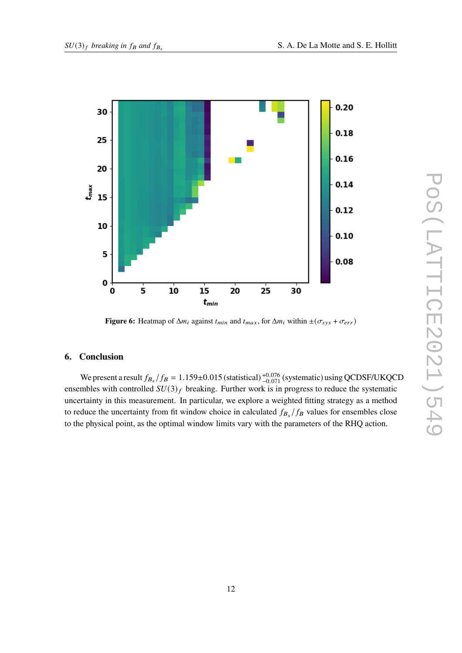

**Figure 6:** Heatmap of  $\Delta m_i$  against  $t_{min}$  and  $t_{max}$ , for  $\Delta m_i$  within  $\pm(\sigma_{sys} + \sigma_{err})$ 

## **6. Conclusion**

We present a result  $f_{B_s}/f_B = 1.159 \pm 0.015$  (statistical)  $^{+0.076}_{-0.071}$  (systematic) using QCDSF/UKQCD ensembles with controlled  $SU(3)_f$  breaking. Further work is in progress to reduce the systematic uncertainty in this measurement. In particular, we explore a weighted fitting strategy as a method to reduce the uncertainty from fit window choice in calculated  $f_{B_s}/f_B$  values for ensembles close to the physical point, as the optimal window limits vary with the parameters of the RHQ action.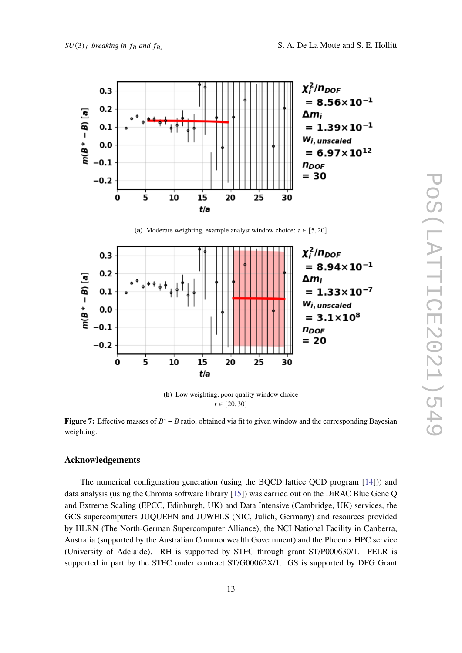<span id="page-12-0"></span>

(a) Moderate weighting, example analyst window choice:  $t \in [5, 20]$ 



**(b)** Low weighting, poor quality window choice  $t \in [20, 30]$ 

**Figure 7:** Effective masses of  $B^* - B$  ratio, obtained via fit to given window and the corresponding Bayesian weighting.

## **Acknowledgements**

The numerical configuration generation (using the BQCD lattice QCD program [\[14\]](#page-14-2))) and data analysis (using the Chroma software library [\[15\]](#page-14-3)) was carried out on the DiRAC Blue Gene Q and Extreme Scaling (EPCC, Edinburgh, UK) and Data Intensive (Cambridge, UK) services, the GCS supercomputers JUQUEEN and JUWELS (NIC, Julich, Germany) and resources provided by HLRN (The North-German Supercomputer Alliance), the NCI National Facility in Canberra, Australia (supported by the Australian Commonwealth Government) and the Phoenix HPC service (University of Adelaide). RH is supported by STFC through grant ST/P000630/1. PELR is supported in part by the STFC under contract ST/G00062X/1. GS is supported by DFG Grant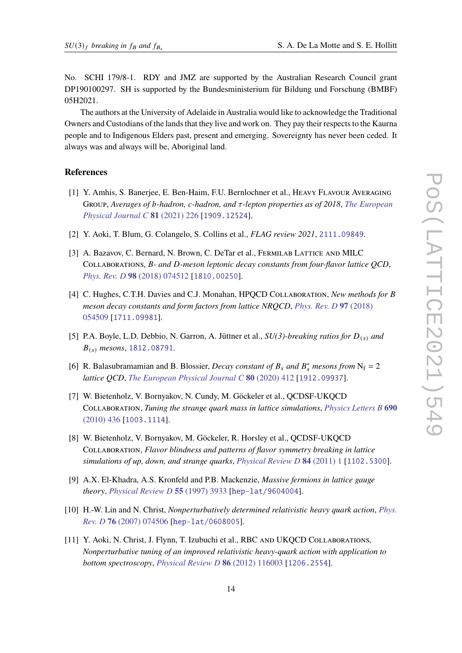No. SCHI 179/8-1. RDY and JMZ are supported by the Australian Research Council grant DP190100297. SH is supported by the Bundesministerium für Bildung und Forschung (BMBF) 05H2021.

The authors at the University of Adelaide in Australia would like to acknowledge the Traditional Owners and Custodians of the lands that they live and work on. They pay their respects to the Kaurna people and to Indigenous Elders past, present and emerging. Sovereignty has never been ceded. It always was and always will be, Aboriginal land.

#### **References**

- <span id="page-13-0"></span>[1] Y. Amhis, S. Banerjee, E. Ben-Haim, F.U. Bernlochner et al., Heavy Flavour Averaging Group, *Averages of b-hadron, c-hadron, and* τ-lepton properties as of 2018, *[The European](https://doi.org/10.1140/epjc/s10052-020-8156-7) [Physical Journal C](https://doi.org/10.1140/epjc/s10052-020-8156-7)* **81** (2021) 226 [[1909.12524](https://arxiv.org/abs/1909.12524)].
- <span id="page-13-1"></span>[2] Y. Aoki, T. Blum, G. Colangelo, S. Collins et al., *FLAG review 2021*, [2111.09849](https://arxiv.org/abs/2111.09849).
- <span id="page-13-2"></span>[3] A. Bazavov, C. Bernard, N. Brown, C. DeTar et al., FERMILAB LATTICE AND MILC COLLABORATIONS, B- and D-meson leptonic decay constants from four-flavor lattice QCD, *[Phys. Rev. D](https://doi.org/10.1103/PhysRevD.98.074512)* **98** (2018) 074512 [[1810.00250](https://arxiv.org/abs/1810.00250)].
- <span id="page-13-3"></span>[4] C. Hughes, C.T.H. Davies and C.J. Monahan, HPQCD CoLLABORATION, *New methods for B meson decay constants and form factors from lattice NRQCD*, *[Phys. Rev. D](https://doi.org/10.1103/PhysRevD.97.054509)* **97** (2018) [054509](https://doi.org/10.1103/PhysRevD.97.054509) [[1711.09981](https://arxiv.org/abs/1711.09981)].
- <span id="page-13-4"></span>[5] P.A. Boyle, L.D. Debbio, N. Garron, A. Jüttner et al.,  $SU(3)$ -breaking ratios for  $D_{(s)}$  and 𝐵(𝑠) *mesons*, [1812.08791](https://arxiv.org/abs/1812.08791).
- <span id="page-13-5"></span>[6] R. Balasubramamian and B. Blossier, *Decay constant of*  $B_s$  *and*  $B_s^*$  *mesons from*  $N_f = 2$ *lattice QCD*, *[The European Physical Journal C](https://doi.org/10.1140/epjc/s10052-020-7965-z)* **80** (2020) 412 [[1912.09937](https://arxiv.org/abs/1912.09937)].
- <span id="page-13-6"></span>[7] W. Bietenholz, V. Bornyakov, N. Cundy, M. Göckeler et al., QCDSF-UKQCD Collaboration, *Tuning the strange quark mass in lattice simulations*, *[Physics Letters B](https://doi.org/https://doi.org/10.1016/j.physletb.2010.05.067)* **690** [\(2010\) 436](https://doi.org/https://doi.org/10.1016/j.physletb.2010.05.067) [[1003.1114](https://arxiv.org/abs/1003.1114)].
- <span id="page-13-7"></span>[8] W. Bietenholz, V. Bornyakov, M. Göckeler, R. Horsley et al., QCDSF-UKQCD Collaboration, *Flavor blindness and patterns of flavor symmetry breaking in lattice simulations of up, down, and strange quarks*, *[Physical Review D](https://doi.org/10.1103/PhysRevD.84.054509)* **84** (2011) 1 [[1102.5300](https://arxiv.org/abs/1102.5300)].
- <span id="page-13-8"></span>[9] A.X. El-Khadra, A.S. Kronfeld and P.B. Mackenzie, *Massive fermions in lattice gauge theory*, *[Physical Review D](https://doi.org/10.1103/PhysRevD.55.3933)* **55** (1997) 3933 [[hep-lat/9604004](https://arxiv.org/abs/hep-lat/9604004)].
- <span id="page-13-9"></span>[10] H.-W. Lin and N. Christ, *Nonperturbatively determined relativistic heavy quark action*, *[Phys.](https://doi.org/10.1103/PhysRevD.76.074506) Rev. D* **76** [\(2007\) 074506](https://doi.org/10.1103/PhysRevD.76.074506) [[hep-lat/0608005](https://arxiv.org/abs/hep-lat/0608005)].
- <span id="page-13-10"></span>[11] Y. Aoki, N. Christ, J. Flynn, T. Izubuchi et al., RBC AND UKQCD COLLABORATIONS, *Nonperturbative tuning of an improved relativistic heavy-quark action with application to bottom spectroscopy*, *[Physical Review D](https://doi.org/10.1103/PhysRevD.86.116003)* **86** (2012) 116003 [[1206.2554](https://arxiv.org/abs/1206.2554)].